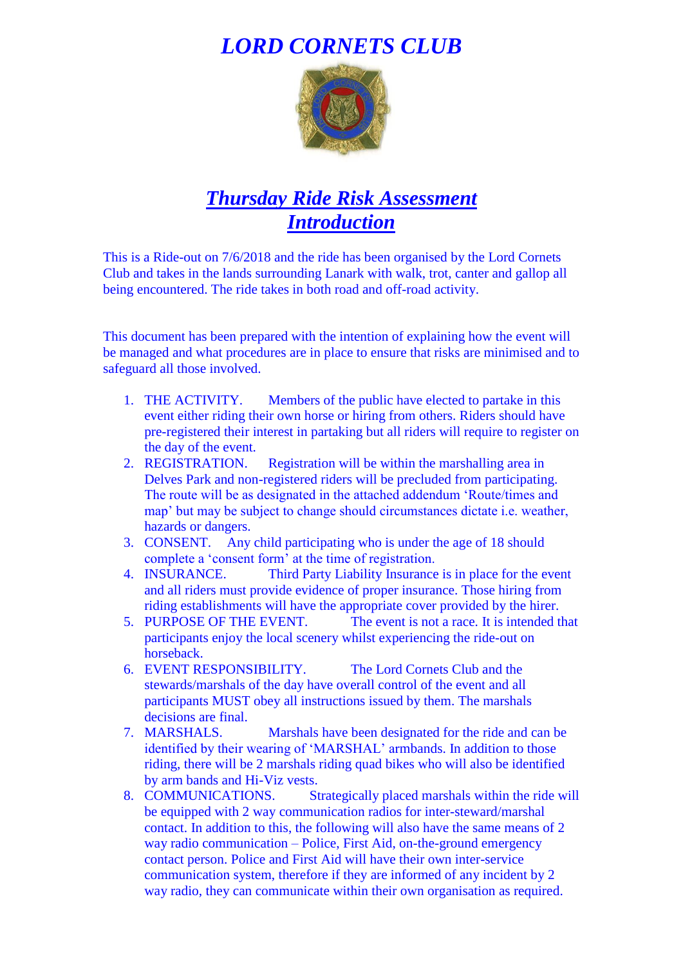## *LORD CORNETS CLUB*



## *Thursday Ride Risk Assessment Introduction*

This is a Ride-out on 7/6/2018 and the ride has been organised by the Lord Cornets Club and takes in the lands surrounding Lanark with walk, trot, canter and gallop all being encountered. The ride takes in both road and off-road activity.

This document has been prepared with the intention of explaining how the event will be managed and what procedures are in place to ensure that risks are minimised and to safeguard all those involved.

- 1. THE ACTIVITY. Members of the public have elected to partake in this event either riding their own horse or hiring from others. Riders should have pre-registered their interest in partaking but all riders will require to register on the day of the event.
- 2. REGISTRATION. Registration will be within the marshalling area in Delves Park and non-registered riders will be precluded from participating. The route will be as designated in the attached addendum 'Route/times and map' but may be subject to change should circumstances dictate i.e. weather, hazards or dangers.
- 3. CONSENT. Any child participating who is under the age of 18 should complete a 'consent form' at the time of registration.
- 4. INSURANCE. Third Party Liability Insurance is in place for the event and all riders must provide evidence of proper insurance. Those hiring from riding establishments will have the appropriate cover provided by the hirer.
- 5. PURPOSE OF THE EVENT. The event is not a race. It is intended that participants enjoy the local scenery whilst experiencing the ride-out on horseback.
- 6. EVENT RESPONSIBILITY. The Lord Cornets Club and the stewards/marshals of the day have overall control of the event and all participants MUST obey all instructions issued by them. The marshals decisions are final.
- 7. MARSHALS. Marshals have been designated for the ride and can be identified by their wearing of 'MARSHAL' armbands. In addition to those riding, there will be 2 marshals riding quad bikes who will also be identified by arm bands and Hi-Viz vests.
- 8. COMMUNICATIONS. Strategically placed marshals within the ride will be equipped with 2 way communication radios for inter-steward/marshal contact. In addition to this, the following will also have the same means of 2 way radio communication – Police, First Aid, on-the-ground emergency contact person. Police and First Aid will have their own inter-service communication system, therefore if they are informed of any incident by 2 way radio, they can communicate within their own organisation as required.